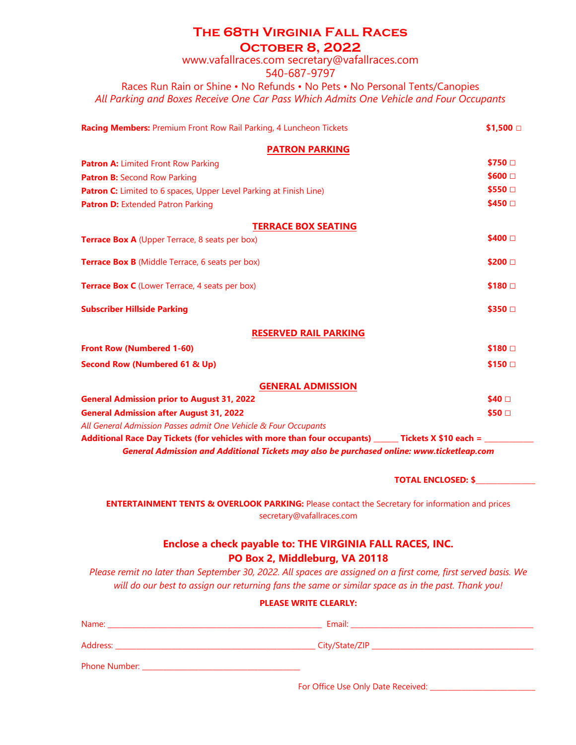## **The 68th Virginia Fall Races**

**October 8, 2022** 

www.vafallraces.com secretary@vafallraces.com

540-687-9797

Races Run Rain or Shine • No Refunds • No Pets • No Personal Tents/Canopies *All Parking and Boxes Receive One Car Pass Which Admits One Vehicle and Four Occupants*

| <b>Racing Members: Premium Front Row Rail Parking, 4 Luncheon Tickets</b>                                      | \$1,500 $\Box$   |
|----------------------------------------------------------------------------------------------------------------|------------------|
| <b>PATRON PARKING</b>                                                                                          |                  |
| <b>Patron A: Limited Front Row Parking</b>                                                                     | \$750 □          |
| Patron B: Second Row Parking                                                                                   | $$600$ $\square$ |
| <b>Patron C:</b> Limited to 6 spaces, Upper Level Parking at Finish Line)                                      | \$550 □          |
| Patron D: Extended Patron Parking                                                                              | \$450 □          |
| <b>TERRACE BOX SEATING</b>                                                                                     |                  |
| <b>Terrace Box A</b> (Upper Terrace, 8 seats per box)                                                          | \$400 □          |
| <b>Terrace Box B</b> (Middle Terrace, 6 seats per box)                                                         | \$200 □          |
| <b>Terrace Box C</b> (Lower Terrace, 4 seats per box)                                                          | $$180$ $\square$ |
| <b>Subscriber Hillside Parking</b>                                                                             | \$350 □          |
| <b>RESERVED RAIL PARKING</b>                                                                                   |                  |
| <b>Front Row (Numbered 1-60)</b>                                                                               | $$180$ $\square$ |
| <b>Second Row (Numbered 61 &amp; Up)</b>                                                                       | \$150 □          |
| <b>GENERAL ADMISSION</b>                                                                                       |                  |
| <b>General Admission prior to August 31, 2022</b>                                                              | \$40 □           |
| <b>General Admission after August 31, 2022</b>                                                                 | \$50 □           |
| All General Admission Passes admit One Vehicle & Four Occupants                                                |                  |
| Additional Race Day Tickets (for vehicles with more than four occupants) ______ Tickets X \$10 each = ________ |                  |

*General Admission and Additional Tickets may also be purchased online: www.ticketleap.com*

**TOTAL ENCLOSED: \$\_\_\_\_\_\_\_\_\_\_\_\_\_\_\_\_\_**

**ENTERTAINMENT TENTS & OVERLOOK PARKING:** Please contact the Secretary for information and prices secretary@vafallraces.com

## **Enclose a check payable to: THE VIRGINIA FALL RACES, INC. PO Box 2, Middleburg, VA 20118**

*Please remit no later than September 30, 2022. All spaces are assigned on a first come, first served basis. We will do our best to assign our returning fans the same or similar space as in the past. Thank you!*

| <b>PLEASE WRITE CLEARLY:</b>                                                                                                                                                                                                        |  |  |
|-------------------------------------------------------------------------------------------------------------------------------------------------------------------------------------------------------------------------------------|--|--|
|                                                                                                                                                                                                                                     |  |  |
|                                                                                                                                                                                                                                     |  |  |
| <b>Phone Number:</b> The Company of the Company of the Company of the Company of the Company of the Company of the Company of the Company of the Company of the Company of the Company of the Company of the Company of the Company |  |  |

For Office Use Only Date Received: \_\_\_\_\_\_\_\_\_\_\_\_\_\_\_\_\_\_\_\_\_\_\_\_\_\_\_\_\_\_